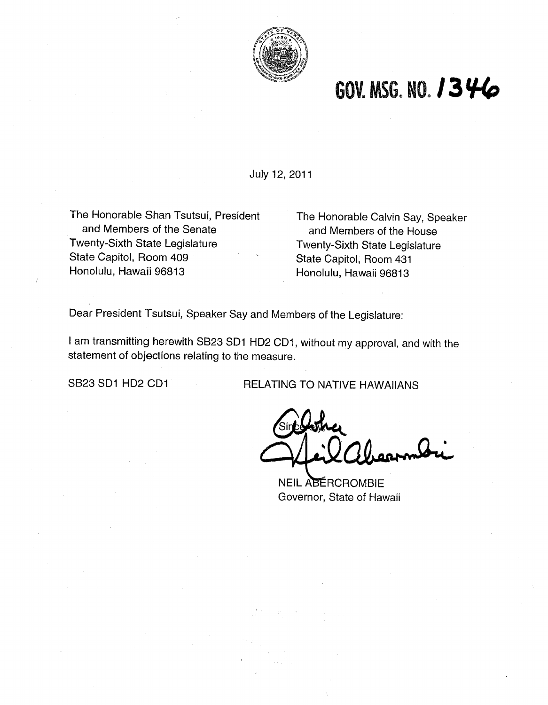

## **GOV. MSG. NO. 1346**

July 12, 2011

The Honorable Shan Tsutsui, President and Members of the Senate Twenty-Sixth State Legislature State Capitol, Room 409 Honolulu, Hawaii 96813

The Honorable Calvin Say, Speaker and Members of the House Twenty-Sixth State Legislature State Capitol, Room 431 Honolulu, Hawaii 96813

Dear President Tsutsui, Speaker Say and Members of the Legislature:

I am transmitting herewith SB23 SDI HD2 CD1, without my approval, and with the statement of objections relating to the measure.

SB23 SD1 HD2 CD1 RELATING TO NATIVE HAWAIIANS

NEIL ABÉRCROMBIE Governor, State of Hawaii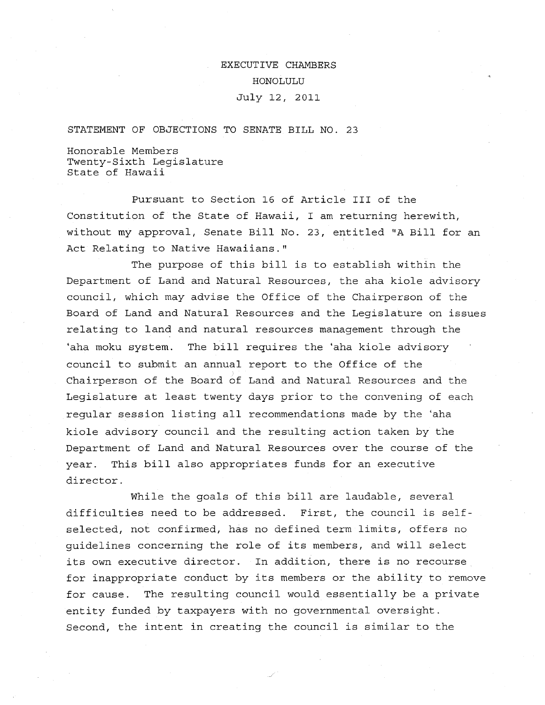EXECUTIVE CHAMBERS HONOLULU July 12, 2011

STATEMENT OF OBJECTIONS TO SENATE BILL NO. 23

Honorable Members Twenty-Sixth Legislature State of Hawaii

Pursuant to Section 16 of Article I11 of the Constitution of the State of Hawaii, I am returning herewith, without my approval, Senate Bill No. 23, entitled "A Bill for an Act Relating to Native Hawaiians."

The purpose of this bill is to establish within the Department *of* Land and Natural Resources, the aha kiole advisory council, which may advise the Office of the Chairperson of the Board of Land and Natural Resources and the Legislature on issues relating to land and natural resources management through the 'aha moku system. The bill requires the 'aha kiole advisory council to submit an annual report to the Office of the Chairperson of the Board of Land and Natural Resources and the Legislature at least twenty days prior to the convening of each regular session listing all recommendations made by the 'aha kiole advisory council and the resulting action taken by the Department of Land and Natural Resources over the course of the year. This bill also appropriates funds for an executive director.

While the goals of this bill are laudable, several difficulties need to be addressed. First, the council is selfselected, not confirmed, has no defined term limits, offers no guidelines concerning the role of its members, and will select its own executive director. In addition, there is no recourse for inappropriate conduct by its members or the ability to remove for cause. The resulting council would essentially be a private entity funded by taxpayers with no governmental oversight. Second, the intent in creating the council is similar to the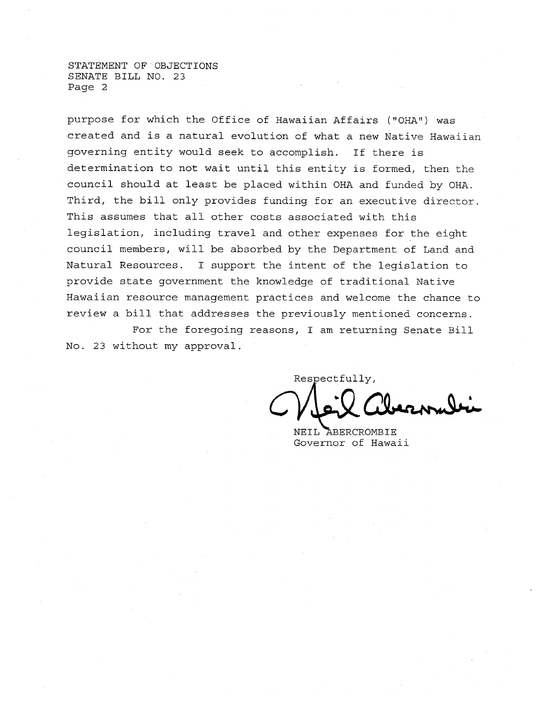STATEMENT OF OBJECTIONS SENATE BILL NO. 23 Page 2

purpose for which the Office of Hawaiian Affairs ("OHA") was created and **is** a natural evolution of what a new Native Hawaiian governing entity would seek to accomplish. If there is determination to not wait until this entity is formed, then the council should at least be placed within OHA and funded by OHA. Third, the bill only provides funding for an executive director. This assumes that all other costs associated with this legislation, including travel and other expenses for the eight council members, will be absorbed by the Department of Land and Natural Resources. **I** support the intent of the legislation to provide state government the knowledge of traditional Native Hawaiian resource management practices and welcome the chance to review a bill that addresses the previously mentioned concerns.

For the foregoing reasons, I am returning Senate Bill No. 23 without my approval.

Respectfully, **I** 

NEIL ABERCROMBIE Governor of Hawaii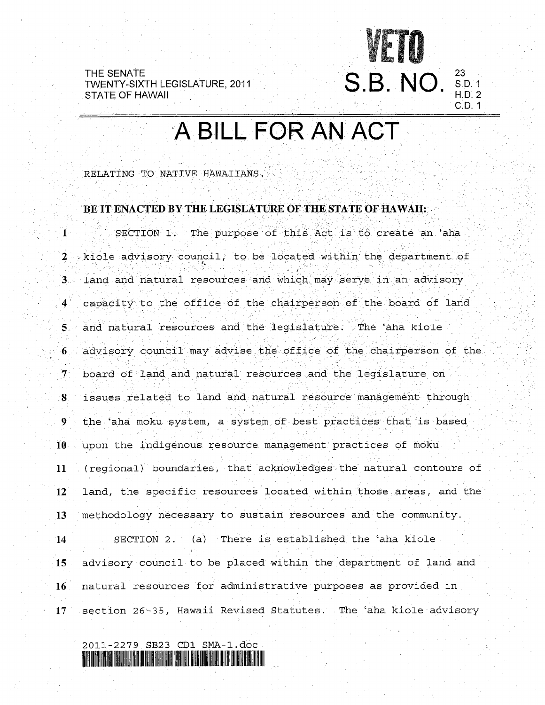**<sup>23</sup>**S.B. NO S.D-I STATE OF HAWAII ' H.D. <sup>2</sup> THE SENATE TWENTY-SIXTH LEGISLATURE, 2011<br>STATE OF HAWAII

# A BILL FOR AN ACT

C.D. 1

RELATING TO NATIVE HAWAIIANS.

### BE IT ENACTED BY THE LEGISLATURE OF THE STATE OF HAWAH:

 $\mathbf{1}$ SECTION 1. The purpose of this Act is to create an 'aha  $2$  -kiole advisory council, to be located within the department of  $3$ land and natural resources and which may serve in an advisory  $\blacktriangleleft$ capacity to the office of the chairperson of the board of land and natural resources and the legislature. The aha kiole  $5<sub>1</sub>$  $\overline{6}$ advisory council may advise the office of the chairperson of the  $7^{\circ}$ board of land and natural resources and the legislature on issues related to land and natural resource management through  $\bf{8}$ the 'aha moku system, a system of best practices that is based 9 10 upon the indigenous resource management practices of moku 11 (regional) boundaries, that acknowledges the natural contours of 12 land, the specific resources located within those areas, and the **13** methodology necessary to sustain resources and the community. **14** SECTION 2. (a) There is established the 'aha kiole **15** advisory council to be placed within the department of land and **16** natural resources for administrative purposes as provided in **17** section 26-35, Hawaii Revised Statutes. The 'aha kiole advisory

2011-2279 SB23 CD1 SMA-1.doc 82 TO 27 EUGLICA ELICITATISTA AD 12 EUGLI AD 12 EUGLI AL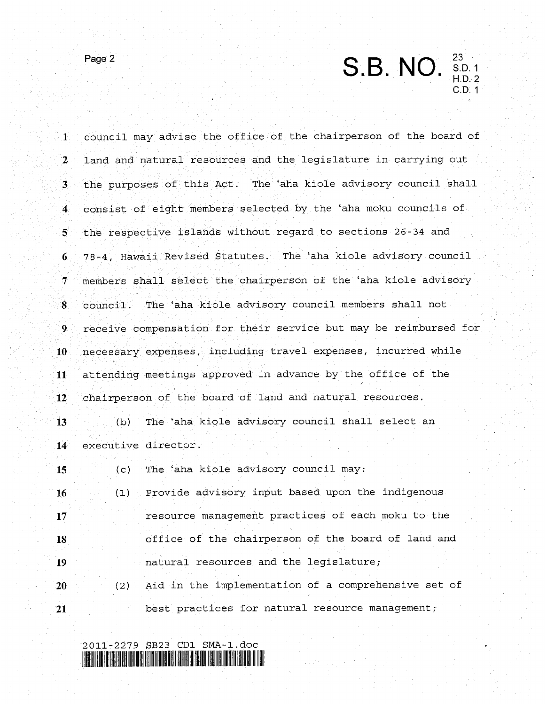$P<sub>age 2</sub>$  S.B. NO. 23<br>S.D. 1<br>U.D. 3 H.D. 2 C.D. 1

| $\mathbf{1}$            | council may advise the office of the chairperson of the board of |
|-------------------------|------------------------------------------------------------------|
| $\mathbf{2}$            | land and natural resources and the legislature in carrying out   |
| 3 <sup>1</sup>          | the purposes of this Act. The 'aha kiole advisory council shall  |
| $\overline{\mathbf{4}}$ | consist of eight members selected by the 'aha moku councils of   |
| $5^{\circ}$             | the respective islands without regard to sections 26-34 and      |
| 6 <sub>1</sub>          | 78-4, Hawaii Revised Statutes. The 'aha kiole advisory council   |
| $\mathcal{T}$           | members shall select the chairperson of the 'aha kiole advisory  |
| $\bf{8}$                | The 'aha kiole advisory council members shall not<br>council.    |
| 9.                      | receive compensation for their service but may be reimbursed for |
| 10 <sub>1</sub>         | necessary expenses, including travel expenses, incurred while    |
| 11                      | attending meetings approved in advance by the office of the      |
| $12^{\circ}$            | chairperson of the board of land and natural resources.          |
| 13 <sub>1</sub>         | The 'aha kiole advisory council shall select an<br>(b)           |
| 14                      | executive director.                                              |
| 15                      | (c) The 'aha kiole advisory council may:                         |
| 16                      | Provide advisory input based upon the indigenous<br>(1)          |
| 17                      | resource management practices of each moku to the                |
| 18                      | office of the chairperson of the board of land and               |
| 19                      | natural resources and the legislature;                           |
| 20                      | Aid in the implementation of a comprehensive set of<br>(2)       |
| 21                      | best practices for natural resource management;                  |

2011-2279 **SB23** CD1 SMA-l.doc *2*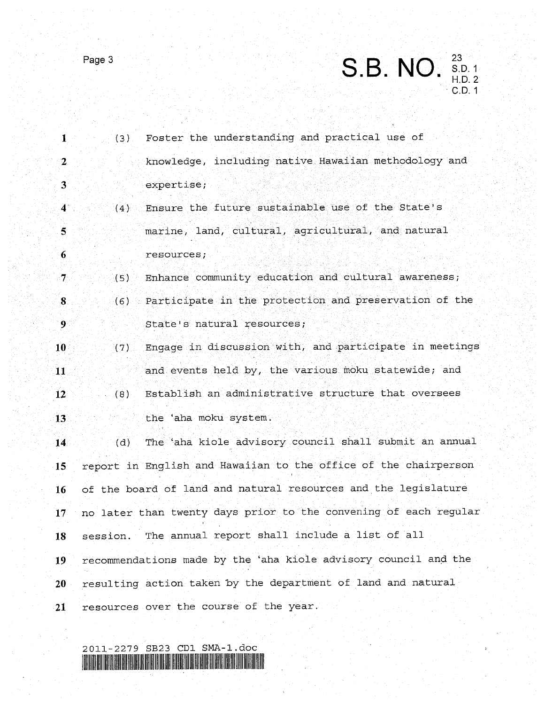

 $\begin{array}{r} 23 \\ S.D. 1 \\ H.D. 2 \end{array}$ C.D. 1 S.B. NO.

| $\mathbf{1}$            | (3) | Foster the understanding and practical use of                    |
|-------------------------|-----|------------------------------------------------------------------|
| $\mathbf{2}$            |     | knowledge, including native Hawaiian methodology and             |
| 3                       |     | expertise;                                                       |
| $\ddot{4}$              | (4) | Ensure the future sustainable use of the State's                 |
| $\overline{\mathbf{5}}$ |     | marine, land, cultural, agricultural, and natural                |
| 6                       |     | resources;                                                       |
| $\tau$                  | (5) | Enhance community education and cultural awareness;              |
| $\bf{8}$                | (6) | Participate in the protection and preservation of the            |
| $\overline{9}$          |     | State's natural resources;                                       |
| $10^{\circ}$            | (7) | Engage in discussion with, and participate in meetings           |
| 11                      |     | and events held by, the various moku statewide; and              |
| $12^{\circ}$            | (8) | Establish an administrative structure that oversees              |
| 13                      |     | the 'aha moku system.                                            |
| 14                      | (d) | The aha kiole advisory council shall submit an annual            |
| 15 <sup>°</sup>         |     | report in English and Hawaiian to the office of the chairperson  |
| 16                      |     | of the board of land and natural resources and the legislature   |
| 17 <sup>°</sup>         |     | no later than twenty days prior to the convening of each regular |
| 18                      |     | session. The annual report shall include a list of all           |
| 19                      |     | recommendations made by the 'aha kiole advisory council and the  |
| 20                      |     | resulting action taken by the department of land and natural     |
| 21                      |     | resources over the course of the year.                           |
|                         |     |                                                                  |